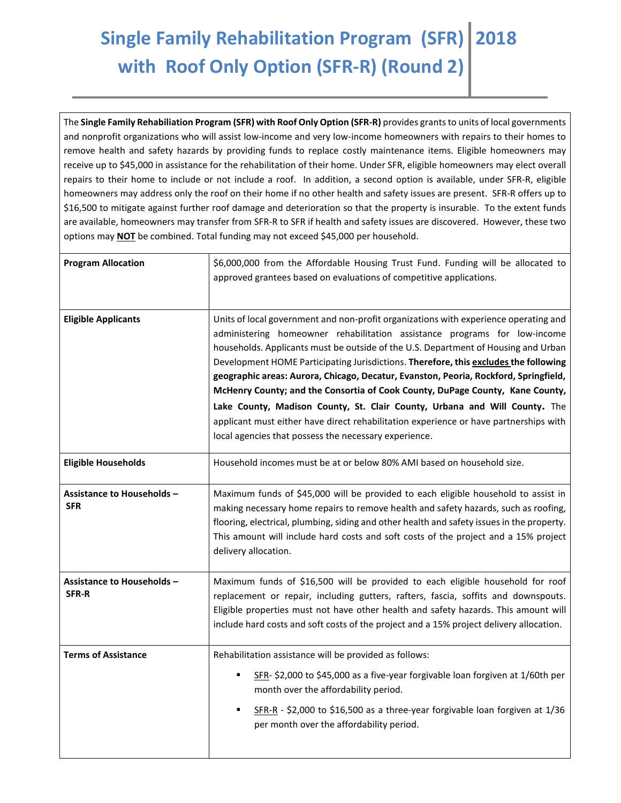## **Single Family Rehabilitation Program (SFR) with Roof Only Option (SFR-R) (Round 2) 2018**

The **Single Family Rehabiliation Program (SFR) with Roof Only Option (SFR-R)** provides grants to units of local governments and nonprofit organizations who will assist low-income and very low-income homeowners with repairs to their homes to remove health and safety hazards by providing funds to replace costly maintenance items. Eligible homeowners may receive up to \$45,000 in assistance for the rehabilitation of their home. Under SFR, eligible homeowners may elect overall repairs to their home to include or not include a roof. In addition, a second option is available, under SFR-R, eligible homeowners may address only the roof on their home if no other health and safety issues are present. SFR-R offers up to \$16,500 to mitigate against further roof damage and deterioration so that the property is insurable. To the extent funds are available, homeowners may transfer from SFR-R to SFR if health and safety issues are discovered. However, these two options may **NOT** be combined. Total funding may not exceed \$45,000 per household.

| <b>Program Allocation</b>                       | \$6,000,000 from the Affordable Housing Trust Fund. Funding will be allocated to<br>approved grantees based on evaluations of competitive applications.                                                                                                                                                                                                                                                                                                                                                                                                                                                                                                                                                                                                  |
|-------------------------------------------------|----------------------------------------------------------------------------------------------------------------------------------------------------------------------------------------------------------------------------------------------------------------------------------------------------------------------------------------------------------------------------------------------------------------------------------------------------------------------------------------------------------------------------------------------------------------------------------------------------------------------------------------------------------------------------------------------------------------------------------------------------------|
| <b>Eligible Applicants</b>                      | Units of local government and non-profit organizations with experience operating and<br>administering homeowner rehabilitation assistance programs for low-income<br>households. Applicants must be outside of the U.S. Department of Housing and Urban<br>Development HOME Participating Jurisdictions. Therefore, this excludes the following<br>geographic areas: Aurora, Chicago, Decatur, Evanston, Peoria, Rockford, Springfield,<br>McHenry County; and the Consortia of Cook County, DuPage County, Kane County,<br>Lake County, Madison County, St. Clair County, Urbana and Will County. The<br>applicant must either have direct rehabilitation experience or have partnerships with<br>local agencies that possess the necessary experience. |
| <b>Eligible Households</b>                      | Household incomes must be at or below 80% AMI based on household size.                                                                                                                                                                                                                                                                                                                                                                                                                                                                                                                                                                                                                                                                                   |
| <b>Assistance to Households -</b><br><b>SFR</b> | Maximum funds of \$45,000 will be provided to each eligible household to assist in<br>making necessary home repairs to remove health and safety hazards, such as roofing,<br>flooring, electrical, plumbing, siding and other health and safety issues in the property.<br>This amount will include hard costs and soft costs of the project and a 15% project<br>delivery allocation.                                                                                                                                                                                                                                                                                                                                                                   |
| <b>Assistance to Households -</b><br>SFR-R      | Maximum funds of \$16,500 will be provided to each eligible household for roof<br>replacement or repair, including gutters, rafters, fascia, soffits and downspouts.<br>Eligible properties must not have other health and safety hazards. This amount will<br>include hard costs and soft costs of the project and a 15% project delivery allocation.                                                                                                                                                                                                                                                                                                                                                                                                   |
| <b>Terms of Assistance</b>                      | Rehabilitation assistance will be provided as follows:<br>SFR- \$2,000 to \$45,000 as a five-year forgivable loan forgiven at 1/60th per<br>month over the affordability period.<br>SFR-R - \$2,000 to \$16,500 as a three-year forgivable loan forgiven at 1/36<br>٠<br>per month over the affordability period.                                                                                                                                                                                                                                                                                                                                                                                                                                        |